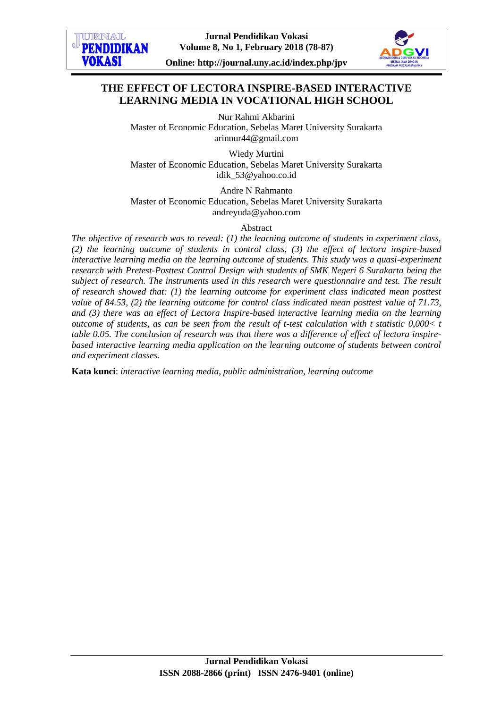



# **THE EFFECT OF LECTORA INSPIRE-BASED INTERACTIVE LEARNING MEDIA IN VOCATIONAL HIGH SCHOOL**

Nur Rahmi Akbarini Master of Economic Education, Sebelas Maret University Surakarta [arinnur44@gmail.com](mailto:arinnur44@gmail.com)

Wiedy Murtini Master of Economic Education, Sebelas Maret University Surakarta [idik\\_53@yahoo.co.id](mailto:idik_53@yahoo.co.id)

Andre N Rahmanto Master of Economic Education, Sebelas Maret University Surakarta [andreyuda@yahoo.com](mailto:andreyuda@yahoo.com)

Abstract

*The objective of research was to reveal: (1) the learning outcome of students in experiment class, (2) the learning outcome of students in control class, (3) the effect of lectora inspire-based interactive learning media on the learning outcome of students. This study was a quasi-experiment research with Pretest-Posttest Control Design with students of SMK Negeri 6 Surakarta being the subject of research. The instruments used in this research were questionnaire and test. The result of research showed that: (1) the learning outcome for experiment class indicated mean posttest value of 84.53, (2) the learning outcome for control class indicated mean posttest value of 71.73, and (3) there was an effect of Lectora Inspire-based interactive learning media on the learning outcome of students, as can be seen from the result of t-test calculation with t statistic 0,000< t table 0.05. The conclusion of research was that there was a difference of effect of lectora inspirebased interactive learning media application on the learning outcome of students between control and experiment classes.*

**Kata kunci**: *interactive learning media, public administration, learning outcome*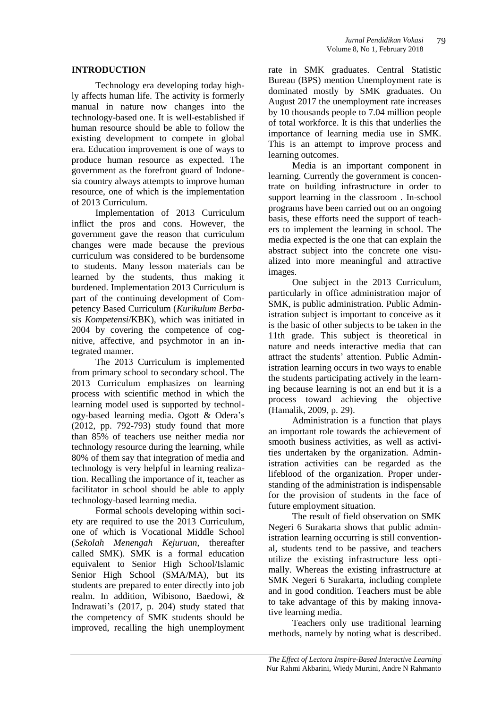#### **INTRODUCTION**

Technology era developing today highly affects human life. The activity is formerly manual in nature now changes into the technology-based one. It is well-established if human resource should be able to follow the existing development to compete in global era. Education improvement is one of ways to produce human resource as expected. The government as the forefront guard of Indonesia country always attempts to improve human resource, one of which is the implementation of 2013 Curriculum.

Implementation of 2013 Curriculum inflict the pros and cons. However, the government gave the reason that curriculum changes were made because the previous curriculum was considered to be burdensome to students. Many lesson materials can be learned by the students, thus making it burdened. Implementation 2013 Curriculum is part of the continuing development of Competency Based Curriculum (*Kurikulum Berbasis Kompetensi*/KBK), which was initiated in 2004 by covering the competence of cognitive, affective, and psychmotor in an integrated manner.

The 2013 Curriculum is implemented from primary school to secondary school. The 2013 Curriculum emphasizes on learning process with scientific method in which the learning model used is supported by technology-based learning media. Ogott & Odera's (2012, pp. 792-793) study found that more than 85% of teachers use neither media nor technology resource during the learning, while 80% of them say that integration of media and technology is very helpful in learning realization. Recalling the importance of it, teacher as facilitator in school should be able to apply technology-based learning media.

Formal schools developing within society are required to use the 2013 Curriculum, one of which is Vocational Middle School (*Sekolah Menengah Kejuruan*, thereafter called SMK). SMK is a formal education equivalent to Senior High School/Islamic Senior High School (SMA/MA), but its students are prepared to enter directly into job realm. In addition, Wibisono, Baedowi, & Indrawati's (2017, p. 204) study stated that the competency of SMK students should be improved, recalling the high unemployment rate in SMK graduates. Central Statistic Bureau (BPS) mention Unemployment rate is dominated mostly by SMK graduates. On August 2017 the unemployment rate increases by 10 thousands people to 7.04 million people of total workforce. It is this that underlies the importance of learning media use in SMK. This is an attempt to improve process and learning outcomes.

Media is an important component in learning. Currently the government is concentrate on building infrastructure in order to support learning in the classroom . In-school programs have been carried out on an ongoing basis, these efforts need the support of teachers to implement the learning in school. The media expected is the one that can explain the abstract subject into the concrete one visualized into more meaningful and attractive images.

One subject in the 2013 Curriculum, particularly in office administration major of SMK, is public administration. Public Administration subject is important to conceive as it is the basic of other subjects to be taken in the 11th grade. This subject is theoretical in nature and needs interactive media that can attract the students' attention. Public Administration learning occurs in two ways to enable the students participating actively in the learning because learning is not an end but it is a process toward achieving the objective (Hamalik, 2009, p. 29).

Administration is a function that plays an important role towards the achievement of smooth business activities, as well as activities undertaken by the organization. Administration activities can be regarded as the lifeblood of the organization. Proper understanding of the administration is indispensable for the provision of students in the face of future employment situation.

The result of field observation on SMK Negeri 6 Surakarta shows that public administration learning occurring is still conventional, students tend to be passive, and teachers utilize the existing infrastructure less optimally. Whereas the existing infrastructure at SMK Negeri 6 Surakarta, including complete and in good condition. Teachers must be able to take advantage of this by making innovative learning media.

Teachers only use traditional learning methods, namely by noting what is described.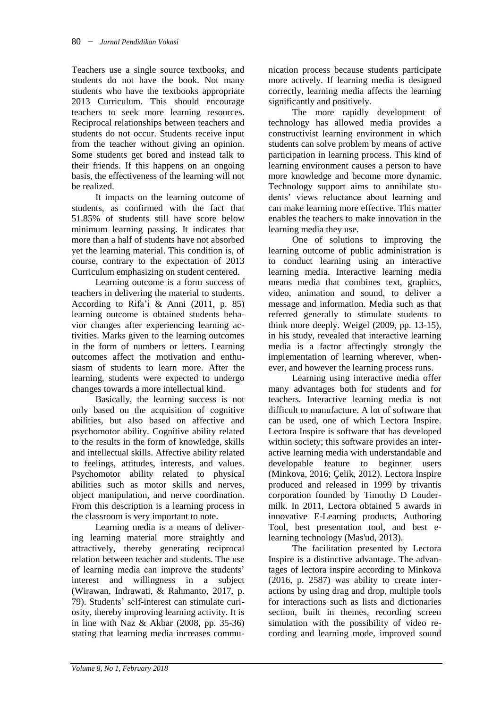Teachers use a single source textbooks, and students do not have the book. Not many students who have the textbooks appropriate 2013 Curriculum. This should encourage teachers to seek more learning resources. Reciprocal relationships between teachers and students do not occur. Students receive input from the teacher without giving an opinion. Some students get bored and instead talk to their friends. If this happens on an ongoing basis, the effectiveness of the learning will not be realized.

It impacts on the learning outcome of students, as confirmed with the fact that 51.85% of students still have score below minimum learning passing. It indicates that more than a half of students have not absorbed yet the learning material. This condition is, of course, contrary to the expectation of 2013 Curriculum emphasizing on student centered.

Learning outcome is a form success of teachers in delivering the material to students. According to Rifa'i & Anni (2011, p. 85) learning outcome is obtained students behavior changes after experiencing learning activities. Marks given to the learning outcomes in the form of numbers or letters. Learning outcomes affect the motivation and enthusiasm of students to learn more. After the learning, students were expected to undergo changes towards a more intellectual kind.

Basically, the learning success is not only based on the acquisition of cognitive abilities, but also based on affective and psychomotor ability. Cognitive ability related to the results in the form of knowledge, skills and intellectual skills. Affective ability related to feelings, attitudes, interests, and values. Psychomotor ability related to physical abilities such as motor skills and nerves, object manipulation, and nerve coordination. From this description is a learning process in the classroom is very important to note.

Learning media is a means of delivering learning material more straightly and attractively, thereby generating reciprocal relation between teacher and students. The use of learning media can improve the students' interest and willingness in a subject (Wirawan, Indrawati, & Rahmanto, 2017, p. 79). Students' self-interest can stimulate curiosity, thereby improving learning activity. It is in line with Naz & Akbar (2008, pp. 35-36) stating that learning media increases communication process because students participate more actively. If learning media is designed correctly, learning media affects the learning significantly and positively.

The more rapidly development of technology has allowed media provides a constructivist learning environment in which students can solve problem by means of active participation in learning process. This kind of learning environment causes a person to have more knowledge and become more dynamic. Technology support aims to annihilate students' views reluctance about learning and can make learning more effective. This matter enables the teachers to make innovation in the learning media they use.

One of solutions to improving the learning outcome of public administration is to conduct learning using an interactive learning media. Interactive learning media means media that combines text, graphics, video, animation and sound, to deliver a message and information. Media such as that referred generally to stimulate students to think more deeply. Weigel (2009, pp. 13-15), in his study, revealed that interactive learning media is a factor affectingly strongly the implementation of learning wherever, whenever, and however the learning process runs.

Learning using interactive media offer many advantages both for students and for teachers. Interactive learning media is not difficult to manufacture. A lot of software that can be used, one of which Lectora Inspire. Lectora Inspire is software that has developed within society; this software provides an interactive learning media with understandable and developable feature to beginner users (Minkova, 2016; Çelik, 2012). Lectora Inspire produced and released in 1999 by trivantis corporation founded by Timothy D Loudermilk. In 2011, Lectora obtained 5 awards in innovative E-Learning products, Authoring Tool, best presentation tool, and best elearning technology (Mas'ud, 2013).

The facilitation presented by Lectora Inspire is a distinctive advantage. The advantages of lectora inspire according to Minkova (2016, p. 2587) was ability to create interactions by using drag and drop, multiple tools for interactions such as lists and dictionaries section, built in themes, recording screen simulation with the possibility of video recording and learning mode, improved sound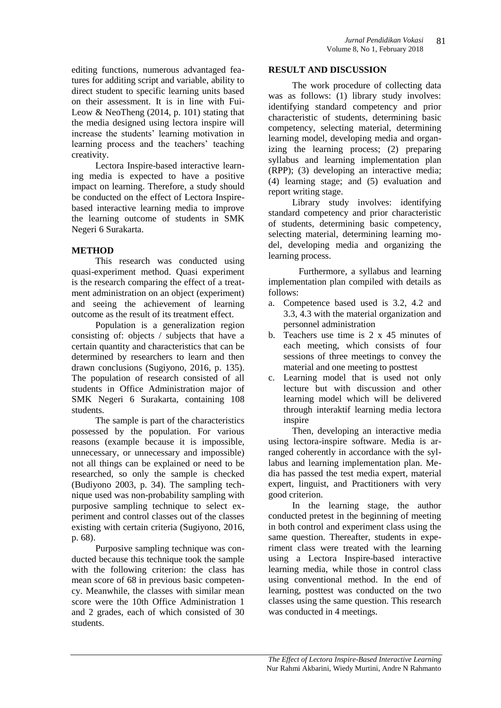editing functions, numerous advantaged features for additing script and variable, ability to direct student to specific learning units based on their assessment. It is in line with Fui-Leow  $& \text{NeoTheng } (2014, p. 101)$  stating that the media designed using lectora inspire will increase the students' learning motivation in learning process and the teachers' teaching creativity.

Lectora Inspire-based interactive learning media is expected to have a positive impact on learning. Therefore, a study should be conducted on the effect of Lectora Inspirebased interactive learning media to improve the learning outcome of students in SMK Negeri 6 Surakarta.

# **METHOD**

This research was conducted using quasi-experiment method. Quasi experiment is the research comparing the effect of a treatment administration on an object (experiment) and seeing the achievement of learning outcome as the result of its treatment effect.

Population is a generalization region consisting of: objects / subjects that have a certain quantity and characteristics that can be determined by researchers to learn and then drawn conclusions (Sugiyono, 2016, p. 135). The population of research consisted of all students in Office Administration major of SMK Negeri 6 Surakarta, containing 108 students.

The sample is part of the characteristics possessed by the population. For various reasons (example because it is impossible, unnecessary, or unnecessary and impossible) not all things can be explained or need to be researched, so only the sample is checked (Budiyono 2003, p. 34). The sampling technique used was non-probability sampling with purposive sampling technique to select experiment and control classes out of the classes existing with certain criteria (Sugiyono, 2016, p. 68).

Purposive sampling technique was conducted because this technique took the sample with the following criterion: the class has mean score of 68 in previous basic competency. Meanwhile, the classes with similar mean score were the 10th Office Administration 1 and 2 grades, each of which consisted of 30 students.

#### **RESULT AND DISCUSSION**

The work procedure of collecting data was as follows: (1) library study involves: identifying standard competency and prior characteristic of students, determining basic competency, selecting material, determining learning model, developing media and organizing the learning process; (2) preparing syllabus and learning implementation plan (RPP); (3) developing an interactive media; (4) learning stage; and (5) evaluation and report writing stage.

Library study involves: identifying standard competency and prior characteristic of students, determining basic competency, selecting material, determining learning model, developing media and organizing the learning process.

Furthermore, a syllabus and learning implementation plan compiled with details as follows:

- a. Competence based used is 3.2, 4.2 and 3.3, 4.3 with the material organization and personnel administration
- b. Teachers use time is 2 x 45 minutes of each meeting, which consists of four sessions of three meetings to convey the material and one meeting to posttest
- c. Learning model that is used not only lecture but with discussion and other learning model which will be delivered through interaktif learning media lectora inspire

Then, developing an interactive media using lectora-inspire software. Media is arranged coherently in accordance with the syllabus and learning implementation plan. Media has passed the test media expert, material expert, linguist, and Practitioners with very good criterion.

In the learning stage, the author conducted pretest in the beginning of meeting in both control and experiment class using the same question. Thereafter, students in experiment class were treated with the learning using a Lectora Inspire-based interactive learning media, while those in control class using conventional method. In the end of learning, posttest was conducted on the two classes using the same question. This research was conducted in 4 meetings.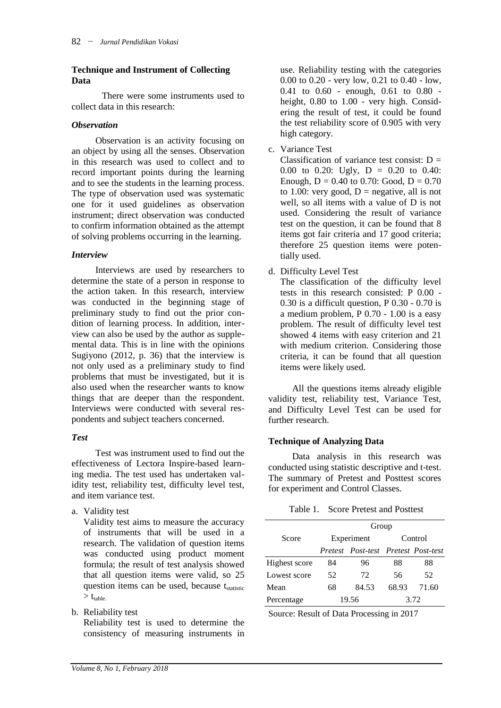### **Technique and Instrument of Collecting Data**

There were some instruments used to collect data in this research:

#### *Observation*

Observation is an activity focusing on an object by using all the senses. Observation in this research was used to collect and to record important points during the learning and to see the students in the learning process. The type of observation used was systematic one for it used guidelines as observation instrument; direct observation was conducted to confirm information obtained as the attempt of solving problems occurring in the learning.

### *Interview*

Interviews are used by researchers to determine the state of a person in response to the action taken. In this research, interview was conducted in the beginning stage of preliminary study to find out the prior condition of learning process. In addition, interview can also be used by the author as supplemental data. This is in line with the opinions Sugiyono (2012, p. 36) that the interview is not only used as a preliminary study to find problems that must be investigated, but it is also used when the researcher wants to know things that are deeper than the respondent. Interviews were conducted with several respondents and subject teachers concerned.

# *Test*

Test was instrument used to find out the effectiveness of Lectora Inspire-based learning media. The test used has undertaken validity test, reliability test, difficulty level test, and item variance test.

a. Validity test

Validity test aims to measure the accuracy of instruments that will be used in a research. The validation of question items was conducted using product moment formula; the result of test analysis showed that all question items were valid, so 25 question items can be used, because  $t_{statistic}$  $> t_{\text{table}}$ 

b. Reliability test

Reliability test is used to determine the consistency of measuring instruments in

use. Reliability testing with the categories 0.00 to 0.20 - very low, 0.21 to 0.40 - low, 0.41 to 0.60 - enough, 0.61 to 0.80 height, 0.80 to 1.00 - very high. Considering the result of test, it could be found the test reliability score of 0.905 with very high category.

# c. Variance Test

Classification of variance test consist:  $D =$ 0.00 to 0.20: Ugly,  $D = 0.20$  to 0.40: Enough,  $D = 0.40$  to 0.70: Good,  $D = 0.70$ to 1.00: very good,  $D =$  negative, all is not well, so all items with a value of D is not used. Considering the result of variance test on the question, it can be found that 8 items got fair criteria and 17 good criteria; therefore 25 question items were potentially used.

# d. Difficulty Level Test

The classification of the difficulty level tests in this research consisted: P 0.00 - 0.30 is a difficult question, P 0.30 - 0.70 is a medium problem, P 0.70 - 1.00 is a easy problem. The result of difficulty level test showed 4 items with easy criterion and 21 with medium criterion. Considering those criteria, it can be found that all question items were likely used.

All the questions items already eligible validity test, reliability test, Variance Test, and Difficulty Level Test can be used for further research.

# **Technique of Analyzing Data**

Data analysis in this research was conducted using statistic descriptive and t-test. The summary of Pretest and Posttest scores for experiment and Control Classes.

|               | Group |                                     |       |         |  |  |  |
|---------------|-------|-------------------------------------|-------|---------|--|--|--|
| Score         |       | Experiment                          |       | Control |  |  |  |
|               |       | Pretest Post-test Pretest Post-test |       |         |  |  |  |
| Highest score | 84    | 96                                  | 88    | 88      |  |  |  |
| Lowest score  | 52    | 72                                  | 56    | 52.     |  |  |  |
| Mean          | 68    | 84.53                               | 68.93 | 71.60   |  |  |  |
| Percentage    | 19.56 |                                     |       | 3.72    |  |  |  |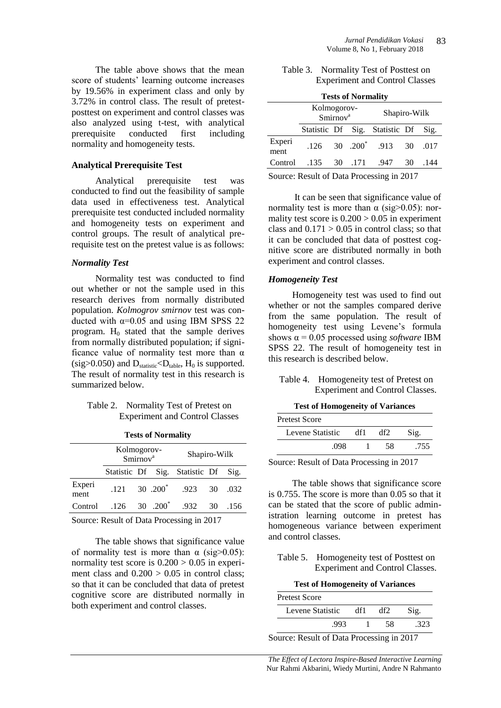The table above shows that the mean score of students' learning outcome increases by 19.56% in experiment class and only by 3.72% in control class. The result of pretestposttest on experiment and control classes was also analyzed using t-test, with analytical prerequisite conducted first including normality and homogeneity tests.

#### **Analytical Prerequisite Test**

Analytical prerequisite test was conducted to find out the feasibility of sample data used in effectiveness test. Analytical prerequisite test conducted included normality and homogeneity tests on experiment and control groups. The result of analytical prerequisite test on the pretest value is as follows:

#### *Normality Test*

Normality test was conducted to find out whether or not the sample used in this research derives from normally distributed population. *Kolmogrov smirnov* test was conducted with  $\alpha$ =0.05 and using IBM SPSS 22 program.  $H_0$  stated that the sample derives from normally distributed population; if significance value of normality test more than  $\alpha$  $(sig>0.050)$  and  $D_{statistic} < D_{table}$ ,  $H_0$  is supported. The result of normality test in this research is summarized below.

#### Table 2. Normality Test of Pretest on Experiment and Control Classes

|                | $= 20000$   |                      |                                   |                                |     |      |  |  |  |
|----------------|-------------|----------------------|-----------------------------------|--------------------------------|-----|------|--|--|--|
|                | Kolmogorov- | Smirnov <sup>a</sup> |                                   | Shapiro-Wilk                   |     |      |  |  |  |
|                |             |                      |                                   | Statistic Df Sig. Statistic Df |     | Sig. |  |  |  |
| Experi<br>ment | .121        |                      | 30 .200 <sup><math>*</math></sup> | .923 30                        |     | .032 |  |  |  |
| Control        |             |                      | $.126$ 30 $.200^*$                | .932                           | -30 | .156 |  |  |  |
|                |             |                      |                                   |                                |     |      |  |  |  |

**Tests of Normality**

Source: Result of Data Processing in 2017

The table shows that significance value of normality test is more than  $\alpha$  (sig>0.05): normality test score is  $0.200 > 0.05$  in experiment class and  $0.200 > 0.05$  in control class; so that it can be concluded that data of pretest cognitive score are distributed normally in both experiment and control classes.

| Table 3. Normality Test of Posttest on |
|----------------------------------------|
| <b>Experiment and Control Classes</b>  |

| <b>Tests of Normality</b> |                    |                      |         |                                |    |      |  |  |  |
|---------------------------|--------------------|----------------------|---------|--------------------------------|----|------|--|--|--|
|                           | Kolmogorov-        | Smirnov <sup>a</sup> |         | Shapiro-Wilk                   |    |      |  |  |  |
|                           |                    |                      |         | Statistic Df Sig. Statistic Df |    | Sig. |  |  |  |
| Experi<br>ment            | $.126$ 30 $.200^*$ |                      |         | .913                           | 30 | .017 |  |  |  |
| Control                   | .135               |                      | 30 .171 | .947                           | 30 | -144 |  |  |  |
|                           |                    |                      |         |                                |    |      |  |  |  |

Source: Result of Data Processing in 2017

It can be seen that significance value of normality test is more than  $\alpha$  (sig>0.05): normality test score is  $0.200 > 0.05$  in experiment class and  $0.171 > 0.05$  in control class; so that it can be concluded that data of posttest cognitive score are distributed normally in both experiment and control classes.

# *Homogeneity Test*

Homogeneity test was used to find out whether or not the samples compared derive from the same population. The result of homogeneity test using Levene's formula shows  $\alpha$  = 0.05 processed using *software* IBM SPSS 22. The result of homogeneity test in this research is described below.

Table 4. Homogeneity test of Pretest on Experiment and Control Classes.

**Test of Homogeneity of Variances**

| Pretest Score    |     |     |      |
|------------------|-----|-----|------|
| Levene Statistic | df1 | df2 | Sig. |
| 098              |     | 58  | .755 |

Source: Result of Data Processing in 2017

The table shows that significance score is 0.755. The score is more than 0.05 so that it can be stated that the score of public administration learning outcome in pretest has homogeneous variance between experiment and control classes.

Table 5. Homogeneity test of Posttest on Experiment and Control Classes.

|  |  | <b>Test of Homogeneity of Variances</b> |  |  |
|--|--|-----------------------------------------|--|--|
|--|--|-----------------------------------------|--|--|

| <b>Pretest Score</b> |     |    |        |  |  |  |  |
|----------------------|-----|----|--------|--|--|--|--|
| Levene Statistic     | df1 |    | Sig.   |  |  |  |  |
| .993                 |     | 58 | $32^2$ |  |  |  |  |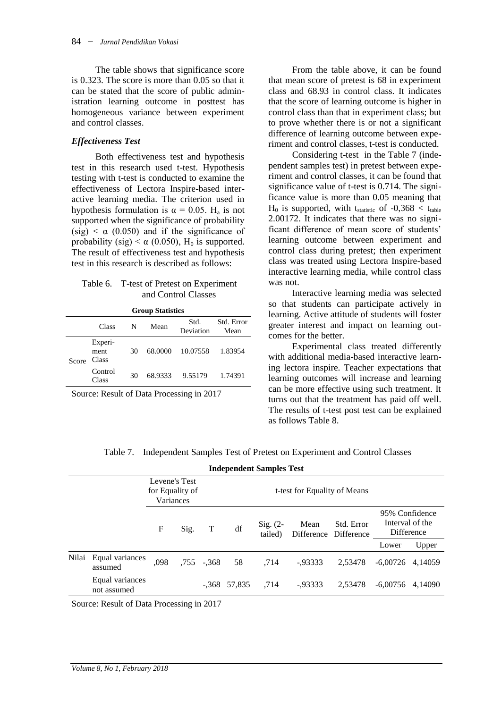The table shows that significance score is 0.323. The score is more than 0.05 so that it can be stated that the score of public administration learning outcome in posttest has homogeneous variance between experiment and control classes.

### *Effectiveness Test*

Both effectiveness test and hypothesis test in this research used t-test. Hypothesis testing with t-test is conducted to examine the effectiveness of Lectora Inspire-based interactive learning media. The criterion used in hypothesis formulation is  $\alpha = 0.05$ . H<sub>a</sub> is not supported when the significance of probability (sig)  $\lt \alpha$  (0.050) and if the significance of probability (sig)  $< \alpha$  (0.050), H<sub>0</sub> is supported. The result of effectiveness test and hypothesis test in this research is described as follows:

#### Table 6. T-test of Pretest on Experiment and Control Classes

| <b>Group Statistics</b> |                          |    |         |                   |                    |  |  |
|-------------------------|--------------------------|----|---------|-------------------|--------------------|--|--|
|                         | Class                    | N  | Mean    | Std.<br>Deviation | Std. Error<br>Mean |  |  |
| Score                   | Experi-<br>ment<br>Class | 30 | 68,0000 | 10.07558          | 1.83954            |  |  |
|                         | Control<br>Class         | 30 | 68.9333 | 9.55179           | 1.74391            |  |  |

Source: Result of Data Processing in 2017

From the table above, it can be found that mean score of pretest is 68 in experiment class and 68.93 in control class. It indicates that the score of learning outcome is higher in control class than that in experiment class; but to prove whether there is or not a significant difference of learning outcome between experiment and control classes, t-test is conducted.

Considering t-test in the Table 7 (independent samples test) in pretest between experiment and control classes, it can be found that significance value of t-test is 0.714. The significance value is more than 0.05 meaning that  $H_0$  is supported, with t<sub>statistic</sub> of -0,368 < t<sub>table</sub> 2.00172. It indicates that there was no significant difference of mean score of students' learning outcome between experiment and control class during pretest; then experiment class was treated using Lectora Inspire-based interactive learning media, while control class was not.

Interactive learning media was selected so that students can participate actively in learning. Active attitude of students will foster greater interest and impact on learning outcomes for the better.

Experimental class treated differently with additional media-based interactive learning lectora inspire. Teacher expectations that learning outcomes will increase and learning can be more effective using such treatment. It turns out that the treatment has paid off well. The results of t-test post test can be explained as follows Table 8.

| Table 7. Independent Samples Test of Pretest on Experiment and Control Classes |  |  |
|--------------------------------------------------------------------------------|--|--|
|                                                                                |  |  |

|       | <b>Independent Samples Test</b> |                                               |      |         |                |                       |                              |                                     |                                                 |         |
|-------|---------------------------------|-----------------------------------------------|------|---------|----------------|-----------------------|------------------------------|-------------------------------------|-------------------------------------------------|---------|
|       |                                 | Levene's Test<br>for Equality of<br>Variances |      |         |                |                       | t-test for Equality of Means |                                     |                                                 |         |
|       |                                 | F                                             | Sig. | T       | df             | $Sig. (2-$<br>tailed) | Mean                         | Std. Error<br>Difference Difference | 95% Confidence<br>Interval of the<br>Difference |         |
|       |                                 |                                               |      |         |                |                       |                              |                                     | Lower                                           | Upper   |
| Nilai | Equal variances<br>assumed      | .098                                          | .755 | $-.368$ | 58             | .714                  | $-0.93333$                   | 2.53478                             | $-6.00726$                                      | 4.14059 |
|       | Equal variances<br>not assumed  |                                               |      |         | $-.368$ 57,835 | .714                  | $-0.93333$                   | 2.53478                             | $-6.00756$                                      | 4.14090 |
|       |                                 |                                               |      |         |                |                       |                              |                                     |                                                 |         |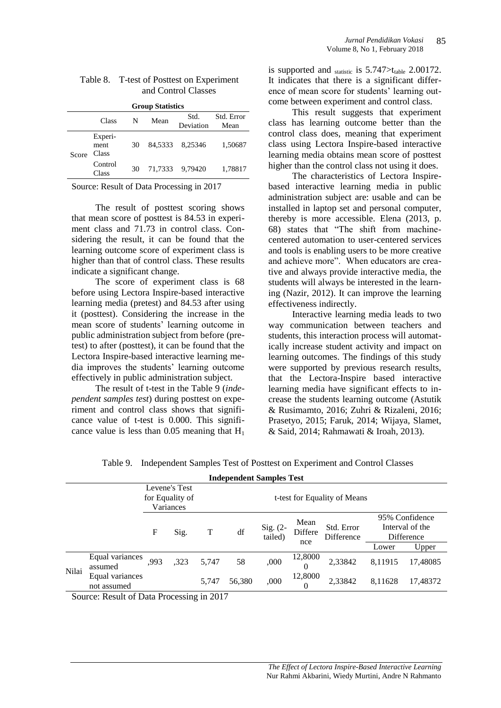| <b>Group Statistics</b> |                          |    |      |                   |                    |  |  |
|-------------------------|--------------------------|----|------|-------------------|--------------------|--|--|
|                         | Class                    | N  | Mean | Std.<br>Deviation | Std. Error<br>Mean |  |  |
| Score                   | Experi-<br>ment<br>Class | 30 |      | 84,5333 8,25346   | 1,50687            |  |  |
|                         | Control<br>Class         | 30 |      | 71,7333 9,79420   | 1,78817            |  |  |

| Table 8. T-test of Posttest on Experiment |
|-------------------------------------------|
| and Control Classes                       |

Source: Result of Data Processing in 2017

The result of posttest scoring shows that mean score of posttest is 84.53 in experiment class and 71.73 in control class. Considering the result, it can be found that the learning outcome score of experiment class is higher than that of control class. These results indicate a significant change.

The score of experiment class is 68 before using Lectora Inspire-based interactive learning media (pretest) and 84.53 after using it (posttest). Considering the increase in the mean score of students' learning outcome in public administration subject from before (pretest) to after (posttest), it can be found that the Lectora Inspire-based interactive learning media improves the students' learning outcome effectively in public administration subject.

The result of t-test in the Table 9 (*independent samples test*) during posttest on experiment and control class shows that significance value of t-test is 0.000. This significance value is less than  $0.05$  meaning that  $H_1$  is supported and  $_{\text{statistic}}$  is 5.747 $>$ t<sub>table</sub> 2.00172. It indicates that there is a significant difference of mean score for students' learning outcome between experiment and control class.

This result suggests that experiment class has learning outcome better than the control class does, meaning that experiment class using Lectora Inspire-based interactive learning media obtains mean score of posttest higher than the control class not using it does.

The characteristics of Lectora Inspirebased interactive learning media in public administration subject are: usable and can be installed in laptop set and personal computer, thereby is more accessible. Elena (2013, p. 68) states that "The shift from machinecentered automation to user-centered services and tools is enabling users to be more creative and achieve more". When educators are creative and always provide interactive media, the students will always be interested in the learning (Nazir, 2012). It can improve the learning effectiveness indirectly.

Interactive learning media leads to two way communication between teachers and students, this interaction process will automatically increase student activity and impact on learning outcomes. The findings of this study were supported by previous research results, that the Lectora-Inspire based interactive learning media have significant effects to increase the students learning outcome (Astutik & Rusimamto, 2016; Zuhri & Rizaleni, 2016; Prasetyo, 2015; Faruk, 2014; Wijaya, Slamet, & Said, 2014; Rahmawati & Iroah, 2013).

|  | Table 9. Independent Samples Test of Posttest on Experiment and Control Classes |  |  |  |
|--|---------------------------------------------------------------------------------|--|--|--|
|--|---------------------------------------------------------------------------------|--|--|--|

| <b>Independent Samples Test</b> |                                    |      |                            |                              |                       |                     |                          |                                                 |          |  |  |  |
|---------------------------------|------------------------------------|------|----------------------------|------------------------------|-----------------------|---------------------|--------------------------|-------------------------------------------------|----------|--|--|--|
|                                 |                                    |      |                            | t-test for Equality of Means |                       |                     |                          |                                                 |          |  |  |  |
|                                 | F                                  | Sig. | T                          | df                           | Sig. $(2-$<br>tailed) | Mean<br>Differe     | Std. Error<br>Difference | 95% Confidence<br>Interval of the<br>Difference |          |  |  |  |
|                                 |                                    |      |                            |                              |                       |                     |                          | Lower                                           | Upper    |  |  |  |
| assumed                         | .993                               | ,323 | 5.747                      | 58                           | ,000                  | 12,8000<br>$\Omega$ | 2,33842                  | 8,11915                                         | 17,48085 |  |  |  |
| not assumed                     |                                    |      | 5,747                      | 56,380                       | ,000                  | 12,8000<br>$\Omega$ | 2,33842                  | 8,11628                                         | 17,48372 |  |  |  |
|                                 | Equal variances<br>Equal variances |      | Levene's Test<br>Variances | for Equality of              |                       |                     | nce                      |                                                 |          |  |  |  |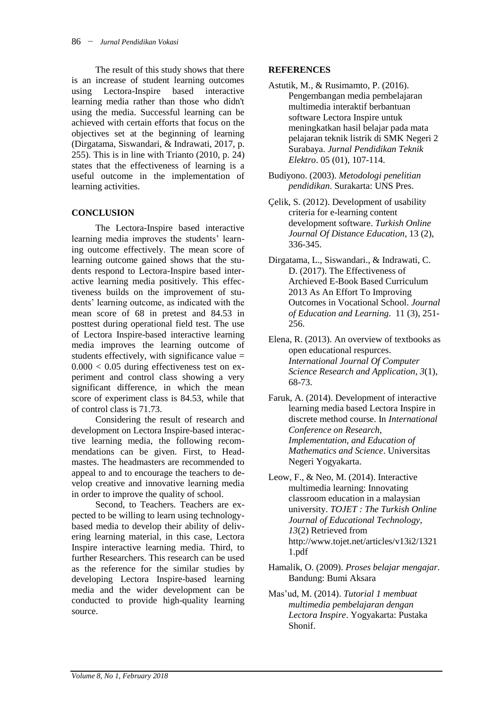The result of this study shows that there is an increase of student learning outcomes using Lectora-Inspire based interactive learning media rather than those who didn't using the media. Successful learning can be achieved with certain efforts that focus on the objectives set at the beginning of learning (Dirgatama, Siswandari, & Indrawati, 2017, p. 255). This is in line with Trianto  $(2010, p. 24)$ states that the effectiveness of learning is a useful outcome in the implementation of learning activities.

# **CONCLUSION**

The Lectora-Inspire based interactive learning media improves the students' learning outcome effectively. The mean score of learning outcome gained shows that the students respond to Lectora-Inspire based interactive learning media positively. This effectiveness builds on the improvement of students' learning outcome, as indicated with the mean score of 68 in pretest and 84.53 in posttest during operational field test. The use of Lectora Inspire-based interactive learning media improves the learning outcome of students effectively, with significance value  $=$  $0.000 < 0.05$  during effectiveness test on experiment and control class showing a very significant difference, in which the mean score of experiment class is 84.53, while that of control class is 71.73.

Considering the result of research and development on Lectora Inspire-based interactive learning media, the following recommendations can be given. First, to Headmastes. The headmasters are recommended to appeal to and to encourage the teachers to develop creative and innovative learning media in order to improve the quality of school.

Second, to Teachers. Teachers are expected to be willing to learn using technologybased media to develop their ability of delivering learning material, in this case, Lectora Inspire interactive learning media. Third, to further Researchers. This research can be used as the reference for the similar studies by developing Lectora Inspire-based learning media and the wider development can be conducted to provide high-quality learning source.

# **REFERENCES**

- Astutik, M., & Rusimamto, P. (2016). Pengembangan media pembelajaran multimedia interaktif berbantuan software Lectora Inspire untuk meningkatkan hasil belajar pada mata pelajaran teknik listrik di SMK Negeri 2 Surabaya. *Jurnal Pendidikan Teknik Elektro*. 05 (01), 107-114.
- Budiyono. (2003). *Metodologi penelitian pendidikan*. Surakarta: UNS Pres.
- Çelik, S. (2012). Development of usability criteria for e-learning content development software. *Turkish Online Journal Of Distance Education,* 13 (2), 336-345.
- Dirgatama, L., Siswandari., & Indrawati, C. D. (2017). The Effectiveness of Archieved E-Book Based Curriculum 2013 As An Effort To Improving Outcomes in Vocational School. *Journal of Education and Learning*. 11 (3), 251- 256.
- Elena, R. (2013). An overview of textbooks as open educational respurces. *International Journal Of Computer Science Research and Application*, *3*(1), 68-73.
- Faruk, A. (2014). Development of interactive learning media based Lectora Inspire in discrete method course. In *International Conference on Research, Implementation, and Education of Mathematics and Science*. Universitas Negeri Yogyakarta.
- Leow, F., & Neo, M. (2014). Interactive multimedia learning: Innovating classroom education in a malaysian university. *TOJET : The Turkish Online Journal of Educational Technology, 13*(2) Retrieved from http://www.tojet.net/articles/v13i2/1321 1.pdf
- Hamalik, O. (2009). *Proses belajar mengajar.* Bandung: Bumi Aksara
- Mas'ud, M. (2014). *Tutorial 1 membuat multimedia pembelajaran dengan Lectora Inspire*. Yogyakarta: Pustaka Shonif.